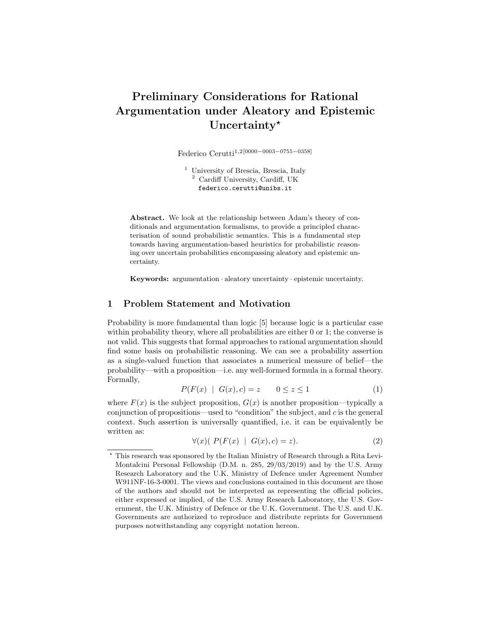# Preliminary Considerations for Rational Argumentation under Aleatory and Epistemic Uncertainty<sup>\*</sup>

Federico Cerutti1,2[0000−0003−0755−0358]

<sup>1</sup> University of Brescia, Brescia, Italy <sup>2</sup> Cardiff University, Cardiff, UK federico.cerutti@unibs.it

Abstract. We look at the relationship between Adam's theory of conditionals and argumentation formalisms, to provide a principled characterisation of sound probabilistic semantics. This is a fundamental step towards having argumentation-based heuristics for probabilistic reasoning over uncertain probabilities encompassing aleatory and epistemic uncertainty.

Keywords: argumentation · aleatory uncertainty · epistemic uncertainty.

## 1 Problem Statement and Motivation

Probability is more fundamental than logic [5] because logic is a particular case within probability theory, where all probabilities are either 0 or 1; the converse is not valid. This suggests that formal approaches to rational argumentation should find some basis on probabilistic reasoning. We can see a probability assertion as a single-valued function that associates a numerical measure of belief—the probability—with a proposition—i.e. any well-formed formula in a formal theory. Formally,

$$
P(F(x) \mid G(x), c) = z \qquad 0 \le z \le 1 \tag{1}
$$

where  $F(x)$  is the subject proposition,  $G(x)$  is another proposition—typically a conjunction of propositions—used to "condition" the subject, and  $c$  is the general context. Such assertion is universally quantified, i.e. it can be equivalently be written as:

$$
\forall (x) \quad P(F(x) \mid G(x), c) = z). \tag{2}
$$

<sup>?</sup> This research was sponsored by the Italian Ministry of Research through a Rita Levi-Montalcini Personal Fellowship (D.M. n. 285, 29/03/2019) and by the U.S. Army Research Laboratory and the U.K. Ministry of Defence under Agreement Number W911NF-16-3-0001. The views and conclusions contained in this document are those of the authors and should not be interpreted as representing the official policies, either expressed or implied, of the U.S. Army Research Laboratory, the U.S. Government, the U.K. Ministry of Defence or the U.K. Government. The U.S. and U.K. Governments are authorized to reproduce and distribute reprints for Government purposes notwithstanding any copyright notation hereon.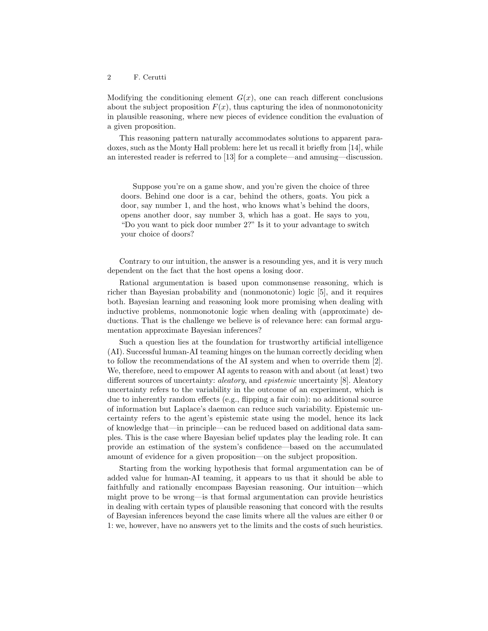Modifying the conditioning element  $G(x)$ , one can reach different conclusions about the subject proposition  $F(x)$ , thus capturing the idea of nonmonotonicity in plausible reasoning, where new pieces of evidence condition the evaluation of a given proposition.

This reasoning pattern naturally accommodates solutions to apparent paradoxes, such as the Monty Hall problem: here let us recall it briefly from [14], while an interested reader is referred to [13] for a complete—and amusing—discussion.

Suppose you're on a game show, and you're given the choice of three doors. Behind one door is a car, behind the others, goats. You pick a door, say number 1, and the host, who knows what's behind the doors, opens another door, say number 3, which has a goat. He says to you, "Do you want to pick door number 2?" Is it to your advantage to switch your choice of doors?

Contrary to our intuition, the answer is a resounding yes, and it is very much dependent on the fact that the host opens a losing door.

Rational argumentation is based upon commonsense reasoning, which is richer than Bayesian probability and (nonmonotonic) logic [5], and it requires both. Bayesian learning and reasoning look more promising when dealing with inductive problems, nonmonotonic logic when dealing with (approximate) deductions. That is the challenge we believe is of relevance here: can formal argumentation approximate Bayesian inferences?

Such a question lies at the foundation for trustworthy artificial intelligence (AI). Successful human-AI teaming hinges on the human correctly deciding when to follow the recommendations of the AI system and when to override them [2]. We, therefore, need to empower AI agents to reason with and about (at least) two different sources of uncertainty: aleatory, and epistemic uncertainty [8]. Aleatory uncertainty refers to the variability in the outcome of an experiment, which is due to inherently random effects (e.g., flipping a fair coin): no additional source of information but Laplace's daemon can reduce such variability. Epistemic uncertainty refers to the agent's epistemic state using the model, hence its lack of knowledge that—in principle—can be reduced based on additional data samples. This is the case where Bayesian belief updates play the leading role. It can provide an estimation of the system's confidence—based on the accumulated amount of evidence for a given proposition—on the subject proposition.

Starting from the working hypothesis that formal argumentation can be of added value for human-AI teaming, it appears to us that it should be able to faithfully and rationally encompass Bayesian reasoning. Our intuition—which might prove to be wrong—is that formal argumentation can provide heuristics in dealing with certain types of plausible reasoning that concord with the results of Bayesian inferences beyond the case limits where all the values are either 0 or 1: we, however, have no answers yet to the limits and the costs of such heuristics.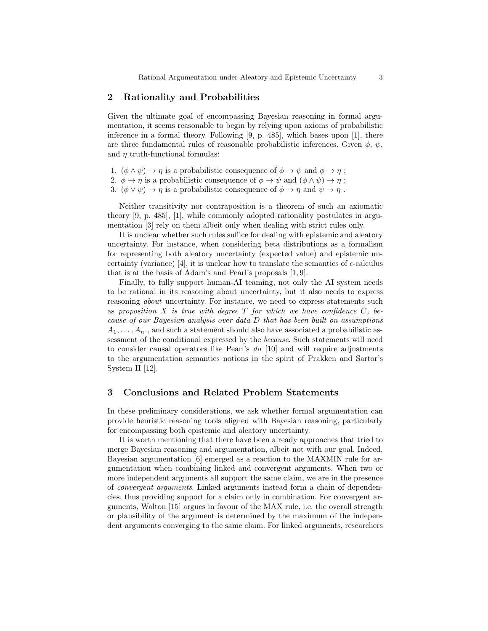### 2 Rationality and Probabilities

Given the ultimate goal of encompassing Bayesian reasoning in formal argumentation, it seems reasonable to begin by relying upon axioms of probabilistic inference in a formal theory. Following [9, p. 485], which bases upon [1], there are three fundamental rules of reasonable probabilistic inferences. Given  $\phi$ ,  $\psi$ , and  $\eta$  truth-functional formulas:

- 1.  $(\phi \land \psi) \rightarrow \eta$  is a probabilistic consequence of  $\phi \rightarrow \psi$  and  $\phi \rightarrow \eta$ ;
- 2.  $\phi \to \eta$  is a probabilistic consequence of  $\phi \to \psi$  and  $(\phi \land \psi) \to \eta$ ;
- 3.  $(\phi \vee \psi) \rightarrow \eta$  is a probabilistic consequence of  $\phi \rightarrow \eta$  and  $\psi \rightarrow \eta$ .

Neither transitivity nor contraposition is a theorem of such an axiomatic theory [9, p. 485], [1], while commonly adopted rationality postulates in argumentation [3] rely on them albeit only when dealing with strict rules only.

It is unclear whether such rules suffice for dealing with epistemic and aleatory uncertainty. For instance, when considering beta distributions as a formalism for representing both aleatory uncertainty (expected value) and epistemic uncertainty (variance) [4], it is unclear how to translate the semantics of  $\epsilon$ -calculus that is at the basis of Adam's and Pearl's proposals [1, 9].

Finally, to fully support human-AI teaming, not only the AI system needs to be rational in its reasoning about uncertainty, but it also needs to express reasoning about uncertainty. For instance, we need to express statements such as proposition  $X$  is true with degree  $T$  for which we have confidence  $C$ , because of our Bayesian analysis over data D that has been built on assumptions  $A_1, \ldots, A_n$ , and such a statement should also have associated a probabilistic assessment of the conditional expressed by the because. Such statements will need to consider causal operators like Pearl's do [10] and will require adjustments to the argumentation semantics notions in the spirit of Prakken and Sartor's System II [12].

#### 3 Conclusions and Related Problem Statements

In these preliminary considerations, we ask whether formal argumentation can provide heuristic reasoning tools aligned with Bayesian reasoning, particularly for encompassing both epistemic and aleatory uncertainty.

It is worth mentioning that there have been already approaches that tried to merge Bayesian reasoning and argumentation, albeit not with our goal. Indeed, Bayesian argumentation [6] emerged as a reaction to the MAXMIN rule for argumentation when combining linked and convergent arguments. When two or more independent arguments all support the same claim, we are in the presence of convergent arguments. Linked arguments instead form a chain of dependencies, thus providing support for a claim only in combination. For convergent arguments, Walton [15] argues in favour of the MAX rule, i.e. the overall strength or plausibility of the argument is determined by the maximum of the independent arguments converging to the same claim. For linked arguments, researchers